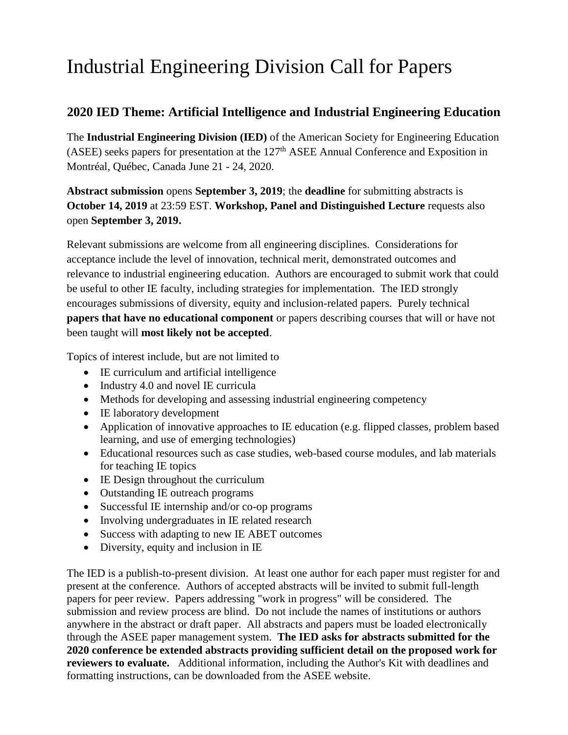## Industrial Engineering Division Call for Papers

## **2020 IED Theme: Artificial Intelligence and Industrial Engineering Education**

The **Industrial Engineering Division (IED)** of the American Society for Engineering Education (ASEE) seeks papers for presentation at the 127<sup>th</sup> ASEE Annual Conference and Exposition in [Montréal, Québec, Canada](https://congresmtl.com/en/) June 21 - 24, 2020.

**Abstract submission** opens **September 3, 2019**; the **deadline** for submitting abstracts is **October 14, 2019** at 23:59 EST. **Workshop, Panel and Distinguished Lecture** requests also open **September 3, 2019.**

Relevant submissions are welcome from all engineering disciplines. Considerations for acceptance include the level of innovation, technical merit, demonstrated outcomes and relevance to industrial engineering education. Authors are encouraged to submit work that could be useful to other IE faculty, including strategies for implementation. The IED strongly encourages submissions of diversity, equity and inclusion-related papers. Purely technical **papers that have no educational component** or papers describing courses that will or have not been taught will **most likely not be accepted**.

Topics of interest include, but are not limited to

- IE curriculum and artificial intelligence
- Industry 4.0 and novel IE curricula
- Methods for developing and assessing industrial engineering competency
- IE laboratory development
- Application of innovative approaches to IE education (e.g. flipped classes, problem based learning, and use of emerging technologies)
- Educational resources such as case studies, web-based course modules, and lab materials for teaching IE topics
- IE Design throughout the curriculum
- Outstanding IE outreach programs
- Successful IE internship and/or co-op programs
- Involving undergraduates in IE related research
- Success with adapting to new IE ABET outcomes
- Diversity, equity and inclusion in IE

The IED is a publish-to-present division. At least one author for each paper must register for and present at the conference. Authors of accepted abstracts will be invited to submit full-length papers for peer review. Papers addressing "work in progress" will be considered. The submission and review process are blind. Do not include the names of institutions or authors anywhere in the abstract or draft paper. All abstracts and papers must be loaded electronically through the ASEE paper management system. **The IED asks for abstracts submitted for the 2020 conference be extended abstracts providing sufficient detail on the proposed work for reviewers to evaluate.** Additional information, including the Author's Kit with deadlines and formatting instructions, can be downloaded from the ASEE website.